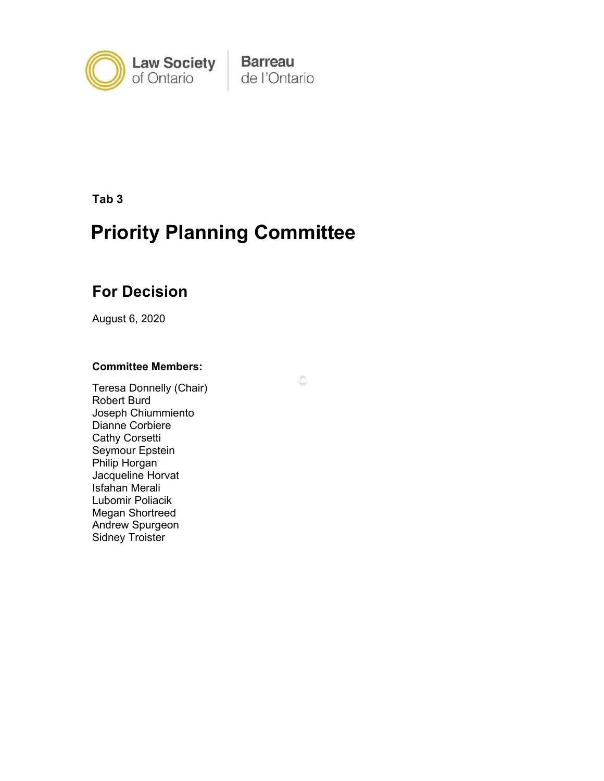

**Barreau** de l'Ontario

C

**Tab 3**

# **Priority Planning Committee**

## **For Decision**

August 6, 2020

#### **Committee Members:**

Teresa Donnelly (Chair) Robert Burd Joseph Chiummiento Dianne Corbiere Cathy Corsetti Seymour Epstein Philip Horgan Jacqueline Horvat Isfahan Merali Lubomir Poliacik Megan Shortreed Andrew Spurgeon Sidney Troister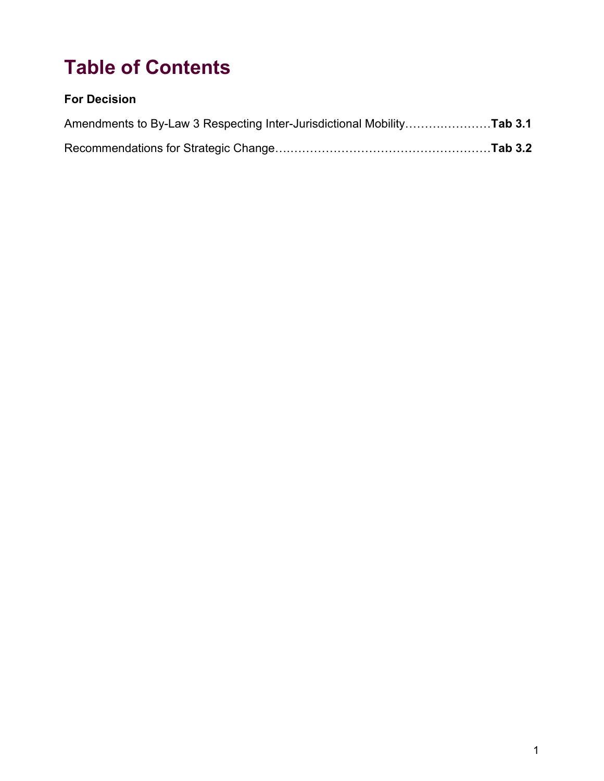# **Table of Contents**

### **For Decision**

| Amendments to By-Law 3 Respecting Inter-Jurisdictional MobilityTab 3.1 |  |
|------------------------------------------------------------------------|--|
|                                                                        |  |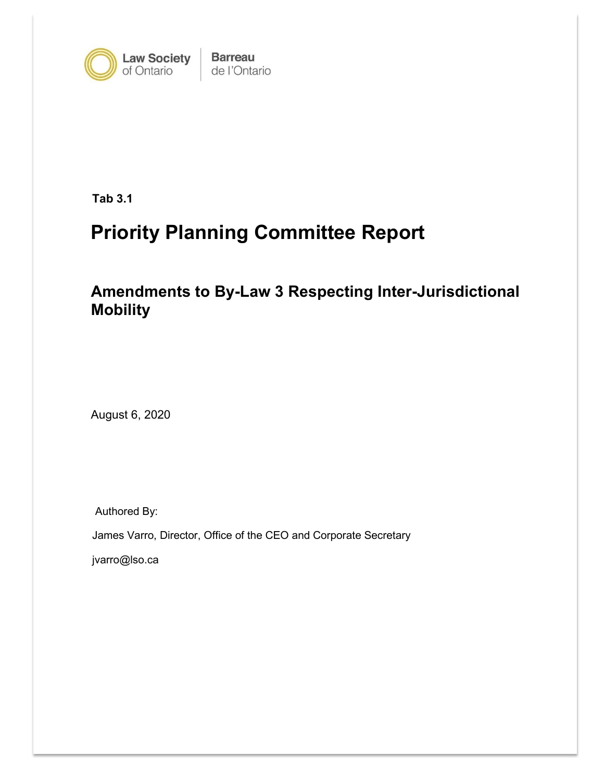

**Barreau** de l'Ontario

**Tab 3.1**

# **Priority Planning Committee Report**

**Amendments to By-Law 3 Respecting Inter-Jurisdictional Mobility**

August 6, 2020

Authored By:

James Varro, Director, Office of the CEO and Corporate Secretary

jvarro@lso.ca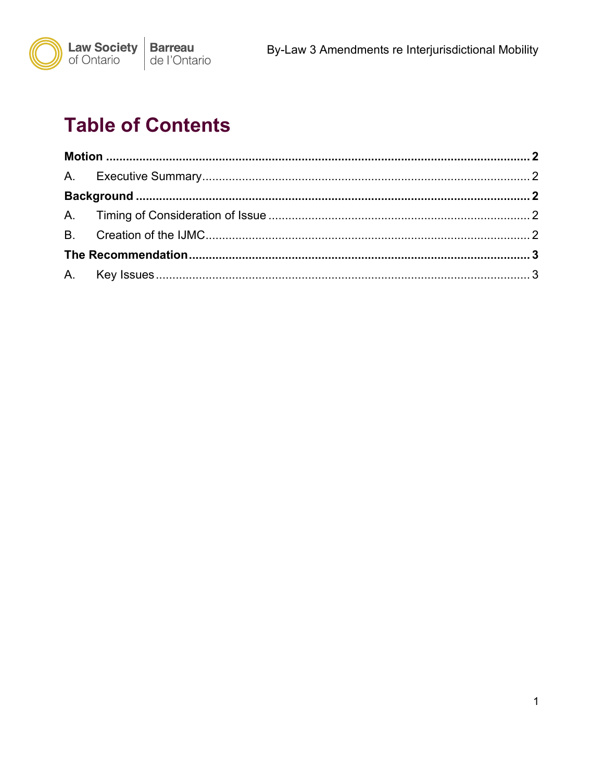

# **Table of Contents**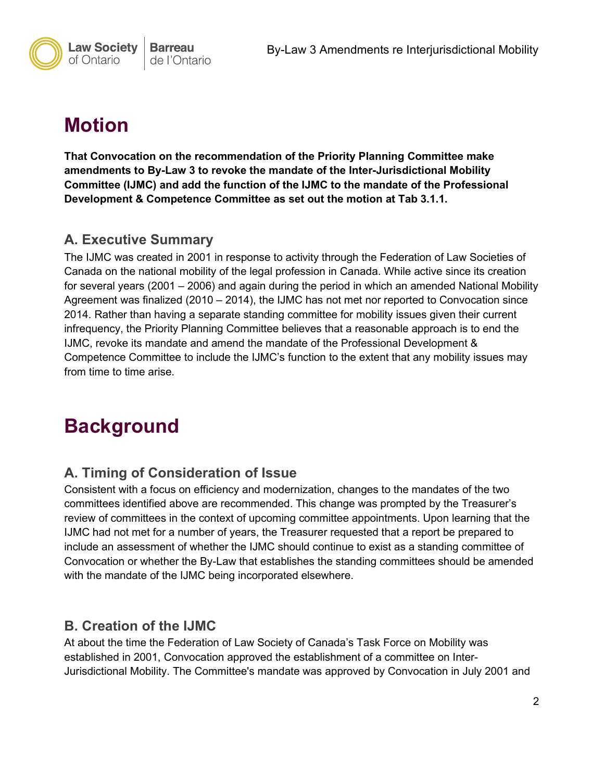

# <span id="page-4-0"></span>**Motion**

**That Convocation on the recommendation of the Priority Planning Committee make amendments to By-Law 3 to revoke the mandate of the Inter-Jurisdictional Mobility Committee (IJMC) and add the function of the IJMC to the mandate of the Professional Development & Competence Committee as set out the motion at Tab 3.1.1.** 

### <span id="page-4-1"></span>**A. Executive Summary**

The IJMC was created in 2001 in response to activity through the Federation of Law Societies of Canada on the national mobility of the legal profession in Canada. While active since its creation for several years (2001 – 2006) and again during the period in which an amended National Mobility Agreement was finalized (2010 – 2014), the IJMC has not met nor reported to Convocation since 2014. Rather than having a separate standing committee for mobility issues given their current infrequency, the Priority Planning Committee believes that a reasonable approach is to end the IJMC, revoke its mandate and amend the mandate of the Professional Development & Competence Committee to include the IJMC's function to the extent that any mobility issues may from time to time arise.

## <span id="page-4-2"></span>**Background**

### <span id="page-4-3"></span>**A. Timing of Consideration of Issue**

Consistent with a focus on efficiency and modernization, changes to the mandates of the two committees identified above are recommended. This change was prompted by the Treasurer's review of committees in the context of upcoming committee appointments. Upon learning that the IJMC had not met for a number of years, the Treasurer requested that a report be prepared to include an assessment of whether the IJMC should continue to exist as a standing committee of Convocation or whether the By-Law that establishes the standing committees should be amended with the mandate of the IJMC being incorporated elsewhere.

### <span id="page-4-4"></span>**B. Creation of the IJMC**

At about the time the Federation of Law Society of Canada's Task Force on Mobility was established in 2001, Convocation approved the establishment of a committee on Inter-Jurisdictional Mobility. The Committee's mandate was approved by Convocation in July 2001 and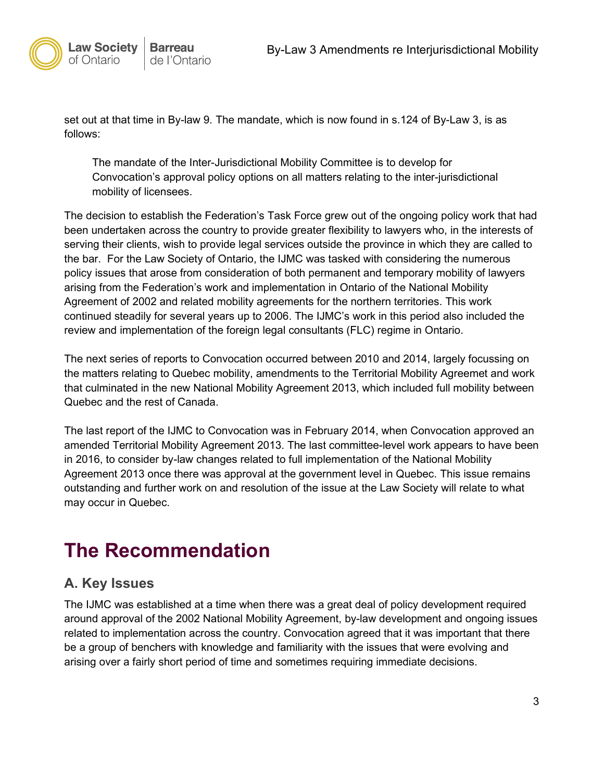

set out at that time in By-law 9*.* The mandate, which is now found in s.124 of By-Law 3, is as follows:

The mandate of the Inter-Jurisdictional Mobility Committee is to develop for Convocation's approval policy options on all matters relating to the inter-jurisdictional mobility of licensees.

The decision to establish the Federation's Task Force grew out of the ongoing policy work that had been undertaken across the country to provide greater flexibility to lawyers who, in the interests of serving their clients, wish to provide legal services outside the province in which they are called to the bar. For the Law Society of Ontario, the IJMC was tasked with considering the numerous policy issues that arose from consideration of both permanent and temporary mobility of lawyers arising from the Federation's work and implementation in Ontario of the National Mobility Agreement of 2002 and related mobility agreements for the northern territories. This work continued steadily for several years up to 2006. The IJMC's work in this period also included the review and implementation of the foreign legal consultants (FLC) regime in Ontario.

The next series of reports to Convocation occurred between 2010 and 2014, largely focussing on the matters relating to Quebec mobility, amendments to the Territorial Mobility Agreemet and work that culminated in the new National Mobility Agreement 2013, which included full mobility between Quebec and the rest of Canada.

The last report of the IJMC to Convocation was in February 2014, when Convocation approved an amended Territorial Mobility Agreement 2013. The last committee-level work appears to have been in 2016, to consider by-law changes related to full implementation of the National Mobility Agreement 2013 once there was approval at the government level in Quebec. This issue remains outstanding and further work on and resolution of the issue at the Law Society will relate to what may occur in Quebec.

## <span id="page-5-0"></span>**The Recommendation**

### <span id="page-5-1"></span>**A. Key Issues**

The IJMC was established at a time when there was a great deal of policy development required around approval of the 2002 National Mobility Agreement, by-law development and ongoing issues related to implementation across the country. Convocation agreed that it was important that there be a group of benchers with knowledge and familiarity with the issues that were evolving and arising over a fairly short period of time and sometimes requiring immediate decisions.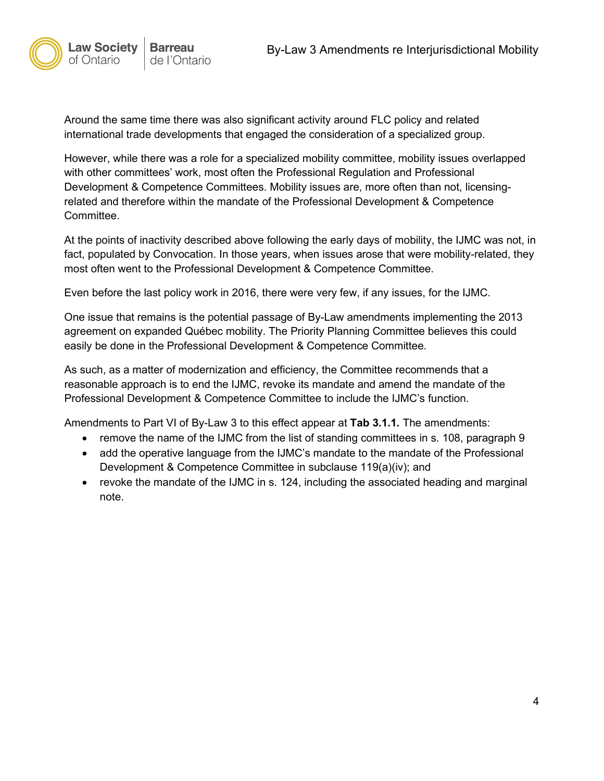

Around the same time there was also significant activity around FLC policy and related international trade developments that engaged the consideration of a specialized group.

However, while there was a role for a specialized mobility committee, mobility issues overlapped with other committees' work, most often the Professional Regulation and Professional Development & Competence Committees. Mobility issues are, more often than not, licensingrelated and therefore within the mandate of the Professional Development & Competence Committee.

At the points of inactivity described above following the early days of mobility, the IJMC was not, in fact, populated by Convocation. In those years, when issues arose that were mobility-related, they most often went to the Professional Development & Competence Committee.

Even before the last policy work in 2016, there were very few, if any issues, for the IJMC.

One issue that remains is the potential passage of By-Law amendments implementing the 2013 agreement on expanded Québec mobility. The Priority Planning Committee believes this could easily be done in the Professional Development & Competence Committee.

As such, as a matter of modernization and efficiency, the Committee recommends that a reasonable approach is to end the IJMC, revoke its mandate and amend the mandate of the Professional Development & Competence Committee to include the IJMC's function.

Amendments to Part VI of By-Law 3 to this effect appear at **Tab 3.1.1.** The amendments:

- remove the name of the IJMC from the list of standing committees in s. 108, paragraph 9
- add the operative language from the IJMC's mandate to the mandate of the Professional Development & Competence Committee in subclause 119(a)(iv); and
- revoke the mandate of the IJMC in s. 124, including the associated heading and marginal note.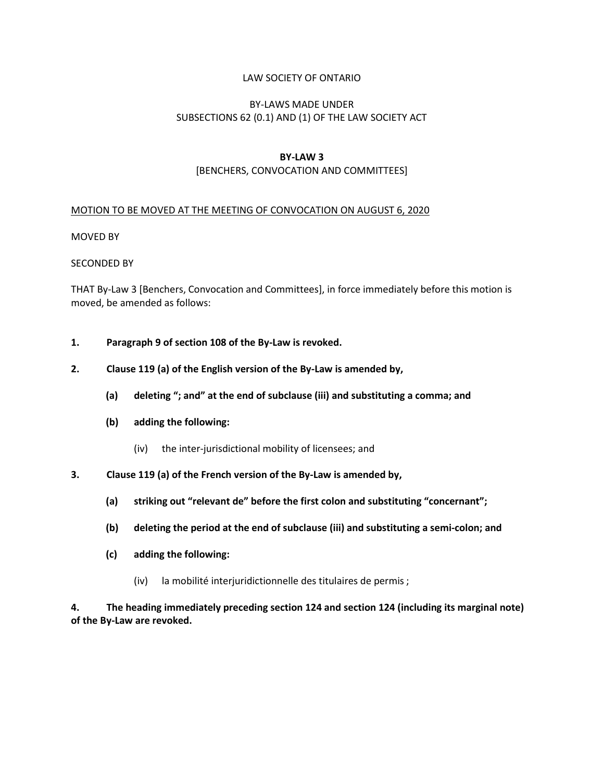#### LAW SOCIETY OF ONTARIO

#### BY-LAWS MADE UNDER SUBSECTIONS 62 (0.1) AND (1) OF THE LAW SOCIETY ACT

#### **BY-LAW 3**

#### [BENCHERS, CONVOCATION AND COMMITTEES]

#### MOTION TO BE MOVED AT THE MEETING OF CONVOCATION ON AUGUST 6, 2020

#### MOVED BY

#### SECONDED BY

THAT By-Law 3 [Benchers, Convocation and Committees], in force immediately before this motion is moved, be amended as follows:

- **1. Paragraph 9 of section 108 of the By-Law is revoked.**
- **2. Clause 119 (a) of the English version of the By-Law is amended by,**
	- **(a) deleting "; and" at the end of subclause (iii) and substituting a comma; and**
	- **(b) adding the following:**
		- (iv) the inter-jurisdictional mobility of licensees; and
- **3. Clause 119 (a) of the French version of the By-Law is amended by,**
	- **(a) striking out "relevant de" before the first colon and substituting "concernant";**
	- **(b) deleting the period at the end of subclause (iii) and substituting a semi-colon; and**
	- **(c) adding the following:**
		- (iv) la mobilité interjuridictionnelle des titulaires de permis ;

**4. The heading immediately preceding section 124 and section 124 (including its marginal note) of the By-Law are revoked.**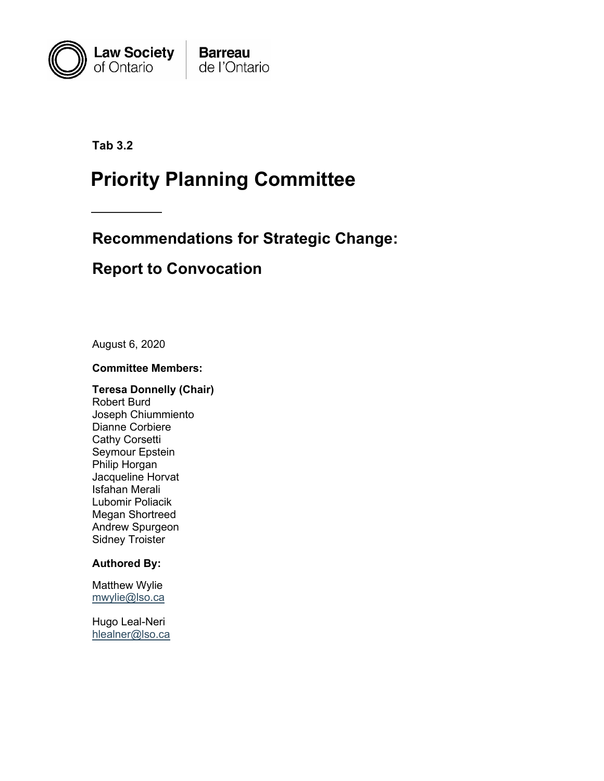

**Tab 3.2**

# **Priority Planning Committee**

## **Recommendations for Strategic Change:**

## **Report to Convocation**

August 6, 2020

#### **Committee Members:**

**Teresa Donnelly (Chair)** Robert Burd Joseph Chiummiento Dianne Corbiere Cathy Corsetti Seymour Epstein Philip Horgan Jacqueline Horvat Isfahan Merali Lubomir Poliacik Megan Shortreed Andrew Spurgeon Sidney Troister

#### **Authored By:**

Matthew Wylie [mwylie@lso.ca](mailto:mwylie@lso.ca)

Hugo Leal-Neri [hlealner@lso.ca](mailto:hlealner@lso.ca)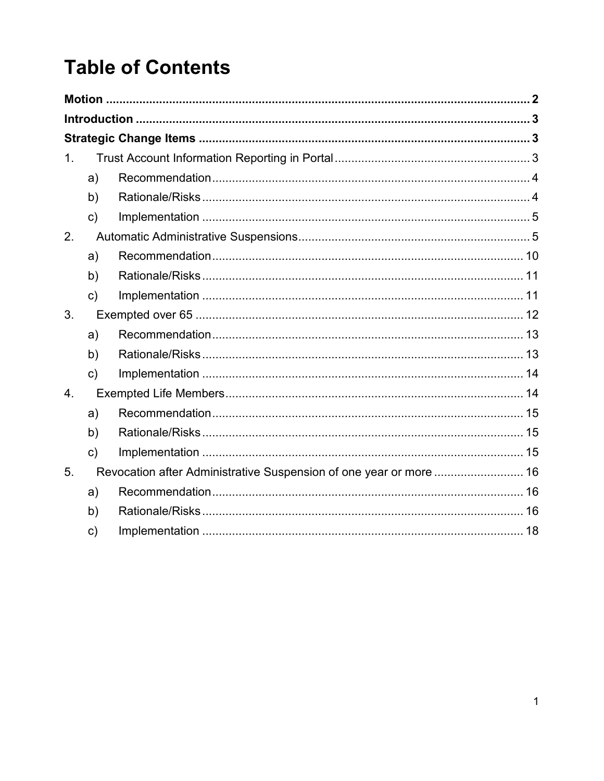# **Table of Contents**

| 1. |               |                                                                    |  |
|----|---------------|--------------------------------------------------------------------|--|
|    | a)            |                                                                    |  |
|    | b)            |                                                                    |  |
|    | $\mathsf{c})$ |                                                                    |  |
| 2. |               |                                                                    |  |
|    | a)            |                                                                    |  |
|    | b)            |                                                                    |  |
|    | c)            |                                                                    |  |
| 3. |               |                                                                    |  |
|    | a)            |                                                                    |  |
|    | b)            |                                                                    |  |
|    | c)            |                                                                    |  |
| 4. |               |                                                                    |  |
|    | a)            |                                                                    |  |
|    | b)            |                                                                    |  |
|    | $\mathsf{c})$ |                                                                    |  |
| 5. |               | Revocation after Administrative Suspension of one year or more  16 |  |
|    | a)            |                                                                    |  |
|    | b)            |                                                                    |  |
|    | c)            |                                                                    |  |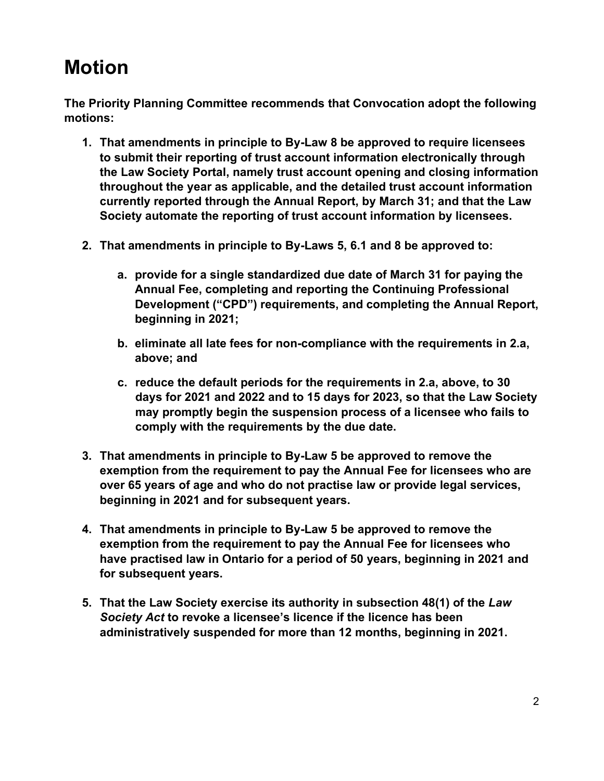# <span id="page-10-0"></span>**Motion**

**The Priority Planning Committee recommends that Convocation adopt the following motions:**

- **1. That amendments in principle to By-Law 8 be approved to require licensees to submit their reporting of trust account information electronically through the Law Society Portal, namely trust account opening and closing information throughout the year as applicable, and the detailed trust account information currently reported through the Annual Report, by March 31; and that the Law Society automate the reporting of trust account information by licensees.**
- **2. That amendments in principle to By-Laws 5, 6.1 and 8 be approved to:**
	- **a. provide for a single standardized due date of March 31 for paying the Annual Fee, completing and reporting the Continuing Professional Development ("CPD") requirements, and completing the Annual Report, beginning in 2021;**
	- **b. eliminate all late fees for non-compliance with the requirements in 2.a, above; and**
	- **c. reduce the default periods for the requirements in 2.a, above, to 30 days for 2021 and 2022 and to 15 days for 2023, so that the Law Society may promptly begin the suspension process of a licensee who fails to comply with the requirements by the due date.**
- **3. That amendments in principle to By-Law 5 be approved to remove the exemption from the requirement to pay the Annual Fee for licensees who are over 65 years of age and who do not practise law or provide legal services, beginning in 2021 and for subsequent years.**
- **4. That amendments in principle to By-Law 5 be approved to remove the exemption from the requirement to pay the Annual Fee for licensees who have practised law in Ontario for a period of 50 years, beginning in 2021 and for subsequent years.**
- **5. That the Law Society exercise its authority in subsection 48(1) of the** *Law Society Act* **to revoke a licensee's licence if the licence has been administratively suspended for more than 12 months, beginning in 2021.**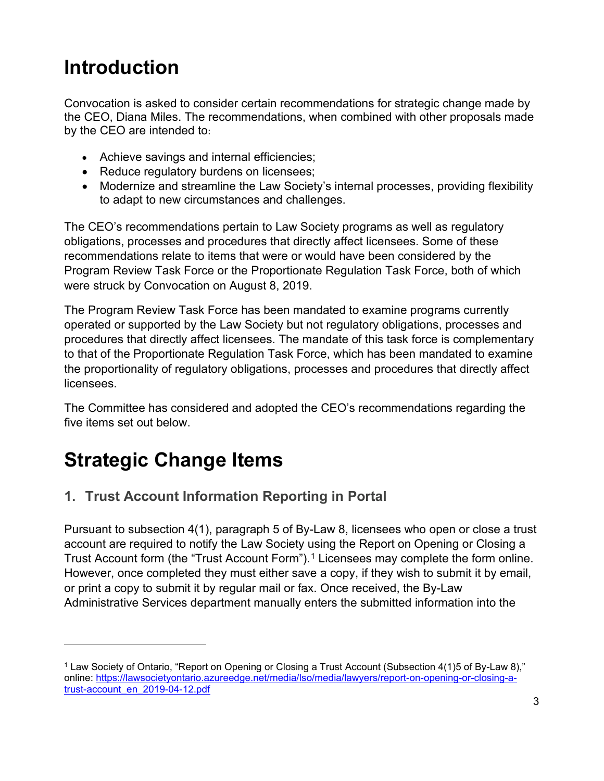# <span id="page-11-0"></span>**Introduction**

Convocation is asked to consider certain recommendations for strategic change made by the CEO, Diana Miles. The recommendations, when combined with other proposals made by the CEO are intended to:

- Achieve savings and internal efficiencies;
- Reduce regulatory burdens on licensees;
- Modernize and streamline the Law Society's internal processes, providing flexibility to adapt to new circumstances and challenges.

The CEO's recommendations pertain to Law Society programs as well as regulatory obligations, processes and procedures that directly affect licensees. Some of these recommendations relate to items that were or would have been considered by the Program Review Task Force or the Proportionate Regulation Task Force, both of which were struck by Convocation on August 8, 2019.

The Program Review Task Force has been mandated to examine programs currently operated or supported by the Law Society but not regulatory obligations, processes and procedures that directly affect licensees. The mandate of this task force is complementary to that of the Proportionate Regulation Task Force, which has been mandated to examine the proportionality of regulatory obligations, processes and procedures that directly affect licensees.

The Committee has considered and adopted the CEO's recommendations regarding the five items set out below.

# <span id="page-11-1"></span>**Strategic Change Items**

### <span id="page-11-2"></span>**1. Trust Account Information Reporting in Portal**

Pursuant to subsection 4(1), paragraph 5 of By-Law 8, licensees who open or close a trust account are required to notify the Law Society using the Report on Opening or Closing a Trust Account form (the "Trust Account Form").<sup>[1](#page-11-3)</sup> Licensees may complete the form online. However, once completed they must either save a copy, if they wish to submit it by email, or print a copy to submit it by regular mail or fax. Once received, the By-Law Administrative Services department manually enters the submitted information into the

<span id="page-11-3"></span><sup>1</sup> Law Society of Ontario, "Report on Opening or Closing a Trust Account (Subsection 4(1)5 of By-Law 8)," online: [https://lawsocietyontario.azureedge.net/media/lso/media/lawyers/report-on-opening-or-closing-a](https://lawsocietyontario.azureedge.net/media/lso/media/lawyers/report-on-opening-or-closing-a-trust-account_en_2019-04-12.pdf)[trust-account\\_en\\_2019-04-12.pdf](https://lawsocietyontario.azureedge.net/media/lso/media/lawyers/report-on-opening-or-closing-a-trust-account_en_2019-04-12.pdf)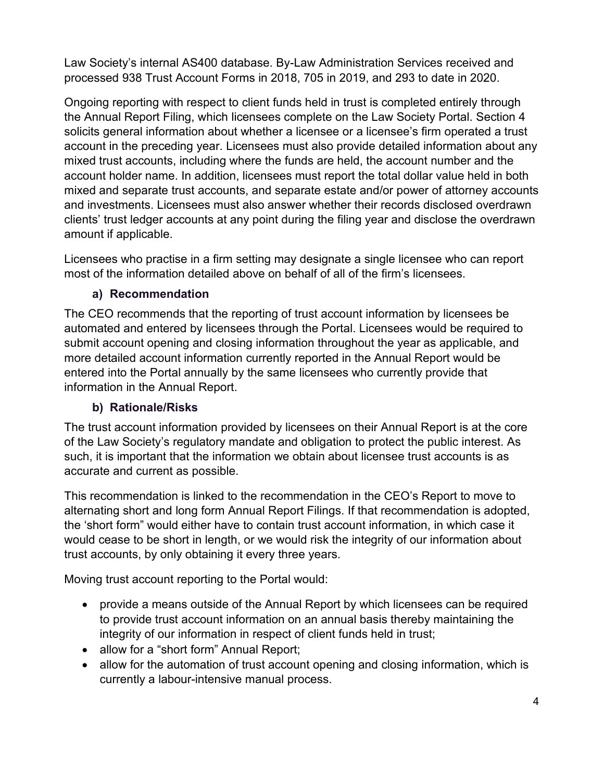Law Society's internal AS400 database. By-Law Administration Services received and processed 938 Trust Account Forms in 2018, 705 in 2019, and 293 to date in 2020.

Ongoing reporting with respect to client funds held in trust is completed entirely through the Annual Report Filing, which licensees complete on the Law Society Portal. Section 4 solicits general information about whether a licensee or a licensee's firm operated a trust account in the preceding year. Licensees must also provide detailed information about any mixed trust accounts, including where the funds are held, the account number and the account holder name. In addition, licensees must report the total dollar value held in both mixed and separate trust accounts, and separate estate and/or power of attorney accounts and investments. Licensees must also answer whether their records disclosed overdrawn clients' trust ledger accounts at any point during the filing year and disclose the overdrawn amount if applicable.

Licensees who practise in a firm setting may designate a single licensee who can report most of the information detailed above on behalf of all of the firm's licensees.

#### **a) Recommendation**

<span id="page-12-0"></span>The CEO recommends that the reporting of trust account information by licensees be automated and entered by licensees through the Portal. Licensees would be required to submit account opening and closing information throughout the year as applicable, and more detailed account information currently reported in the Annual Report would be entered into the Portal annually by the same licensees who currently provide that information in the Annual Report.

#### **b) Rationale/Risks**

<span id="page-12-1"></span>The trust account information provided by licensees on their Annual Report is at the core of the Law Society's regulatory mandate and obligation to protect the public interest. As such, it is important that the information we obtain about licensee trust accounts is as accurate and current as possible.

This recommendation is linked to the recommendation in the CEO's Report to move to alternating short and long form Annual Report Filings. If that recommendation is adopted, the 'short form" would either have to contain trust account information, in which case it would cease to be short in length, or we would risk the integrity of our information about trust accounts, by only obtaining it every three years.

Moving trust account reporting to the Portal would:

- provide a means outside of the Annual Report by which licensees can be required to provide trust account information on an annual basis thereby maintaining the integrity of our information in respect of client funds held in trust;
- allow for a "short form" Annual Report;
- allow for the automation of trust account opening and closing information, which is currently a labour-intensive manual process.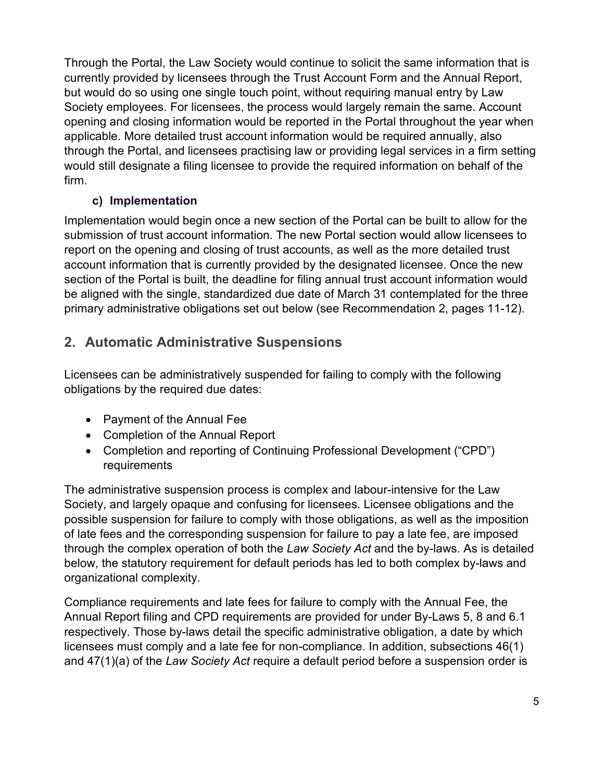Through the Portal, the Law Society would continue to solicit the same information that is currently provided by licensees through the Trust Account Form and the Annual Report, but would do so using one single touch point, without requiring manual entry by Law Society employees. For licensees, the process would largely remain the same. Account opening and closing information would be reported in the Portal throughout the year when applicable. More detailed trust account information would be required annually, also through the Portal, and licensees practising law or providing legal services in a firm setting would still designate a filing licensee to provide the required information on behalf of the firm.

### **c) Implementation**

<span id="page-13-0"></span>Implementation would begin once a new section of the Portal can be built to allow for the submission of trust account information. The new Portal section would allow licensees to report on the opening and closing of trust accounts, as well as the more detailed trust account information that is currently provided by the designated licensee. Once the new section of the Portal is built, the deadline for filing annual trust account information would be aligned with the single, standardized due date of March 31 contemplated for the three primary administrative obligations set out below (see Recommendation 2, pages 11-12).

### <span id="page-13-1"></span>**2. Automatic Administrative Suspensions**

Licensees can be administratively suspended for failing to comply with the following obligations by the required due dates:

- Payment of the Annual Fee
- Completion of the Annual Report
- Completion and reporting of Continuing Professional Development ("CPD") requirements

The administrative suspension process is complex and labour-intensive for the Law Society, and largely opaque and confusing for licensees. Licensee obligations and the possible suspension for failure to comply with those obligations, as well as the imposition of late fees and the corresponding suspension for failure to pay a late fee, are imposed through the complex operation of both the *Law Society Act* and the by-laws. As is detailed below, the statutory requirement for default periods has led to both complex by-laws and organizational complexity.

Compliance requirements and late fees for failure to comply with the Annual Fee, the Annual Report filing and CPD requirements are provided for under By-Laws 5, 8 and 6.1 respectively. Those by-laws detail the specific administrative obligation, a date by which licensees must comply and a late fee for non-compliance. In addition, subsections 46(1) and 47(1)(a) of the *Law Society Act* require a default period before a suspension order is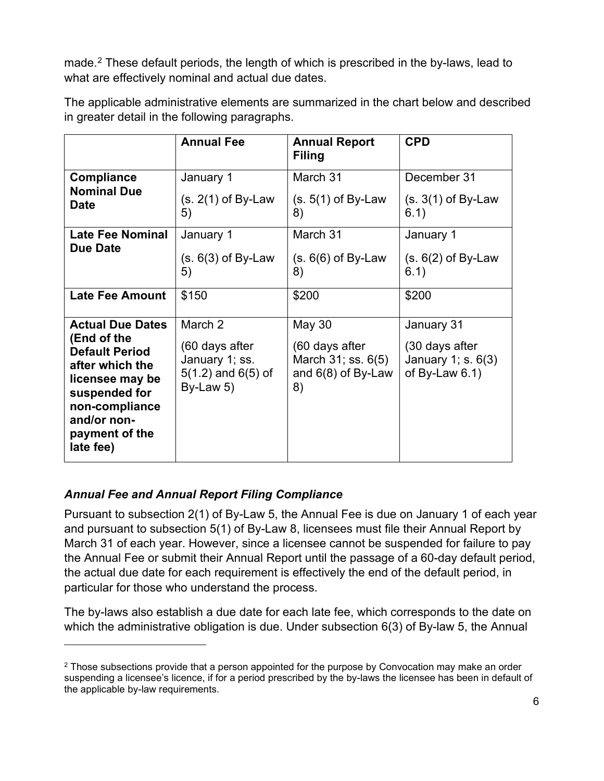made.<sup>[2](#page-14-0)</sup> These default periods, the length of which is prescribed in the by-laws, lead to what are effectively nominal and actual due dates.

|                                                                                                                                                                                        | <b>Annual Fee</b>                                                                  | <b>Annual Report</b><br><b>Filing</b>                                                    | <b>CPD</b>                                                              |
|----------------------------------------------------------------------------------------------------------------------------------------------------------------------------------------|------------------------------------------------------------------------------------|------------------------------------------------------------------------------------------|-------------------------------------------------------------------------|
| <b>Compliance</b><br><b>Nominal Due</b><br><b>Date</b>                                                                                                                                 | January 1<br>$(s. 2(1)$ of By-Law<br>5)                                            | March 31<br>$(s. 5(1)$ of By-Law<br>8)                                                   | December 31<br>$(s. 3(1)$ of By-Law<br>6.1)                             |
| <b>Late Fee Nominal</b><br><b>Due Date</b>                                                                                                                                             | January 1<br>$(s. 6(3)$ of By-Law<br>5)                                            | March 31<br>$(s. 6(6)$ of By-Law<br>8)                                                   | January 1<br>$(s. 6(2)$ of By-Law<br>6.1)                               |
| <b>Late Fee Amount</b>                                                                                                                                                                 | \$150                                                                              | \$200                                                                                    | \$200                                                                   |
| <b>Actual Due Dates</b><br>(End of the<br><b>Default Period</b><br>after which the<br>licensee may be<br>suspended for<br>non-compliance<br>and/or non-<br>payment of the<br>late fee) | March 2<br>(60 days after<br>January 1; ss.<br>$5(1.2)$ and $6(5)$ of<br>By-Law 5) | <b>May 30</b><br>(60 days after<br>March $31$ ; ss. $6(5)$<br>and $6(8)$ of By-Law<br>8) | January 31<br>(30 days after<br>January 1; s. 6(3)<br>of By-Law $6.1$ ) |

The applicable administrative elements are summarized in the chart below and described in greater detail in the following paragraphs.

### *Annual Fee and Annual Report Filing Compliance*

Pursuant to subsection 2(1) of By-Law 5, the Annual Fee is due on January 1 of each year and pursuant to subsection 5(1) of By-Law 8, licensees must file their Annual Report by March 31 of each year. However, since a licensee cannot be suspended for failure to pay the Annual Fee or submit their Annual Report until the passage of a 60-day default period, the actual due date for each requirement is effectively the end of the default period, in particular for those who understand the process.

The by-laws also establish a due date for each late fee, which corresponds to the date on which the administrative obligation is due. Under subsection 6(3) of By-law 5, the Annual

<span id="page-14-0"></span> $2$  Those subsections provide that a person appointed for the purpose by Convocation may make an order suspending a licensee's licence, if for a period prescribed by the by-laws the licensee has been in default of the applicable by-law requirements.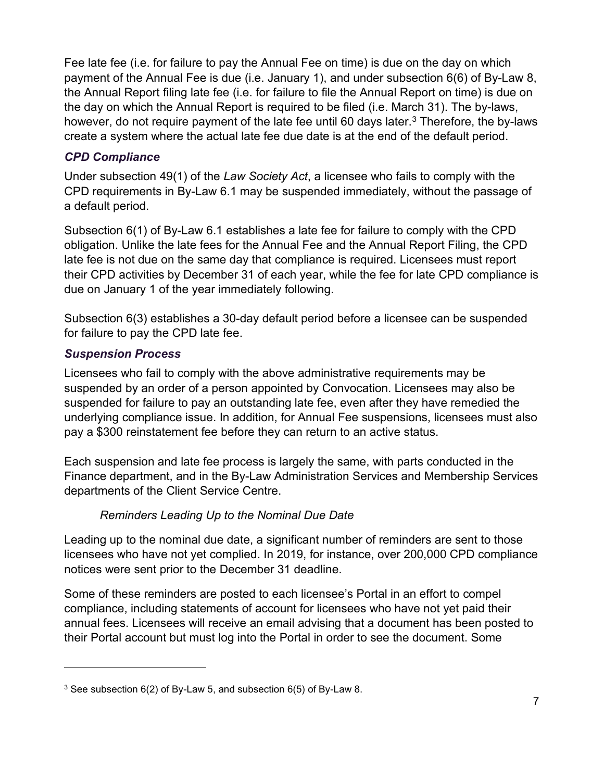Fee late fee (i.e. for failure to pay the Annual Fee on time) is due on the day on which payment of the Annual Fee is due (i.e. January 1), and under subsection 6(6) of By-Law 8, the Annual Report filing late fee (i.e. for failure to file the Annual Report on time) is due on the day on which the Annual Report is required to be filed (i.e. March 31). The by-laws, however, do not require payment of the late fee until 60 days later. [3](#page-15-0) Therefore, the by-laws create a system where the actual late fee due date is at the end of the default period.

#### *CPD Compliance*

Under subsection 49(1) of the *Law Society Act*, a licensee who fails to comply with the CPD requirements in By-Law 6.1 may be suspended immediately, without the passage of a default period.

Subsection 6(1) of By-Law 6.1 establishes a late fee for failure to comply with the CPD obligation. Unlike the late fees for the Annual Fee and the Annual Report Filing, the CPD late fee is not due on the same day that compliance is required. Licensees must report their CPD activities by December 31 of each year, while the fee for late CPD compliance is due on January 1 of the year immediately following.

Subsection 6(3) establishes a 30-day default period before a licensee can be suspended for failure to pay the CPD late fee.

### *Suspension Process*

Licensees who fail to comply with the above administrative requirements may be suspended by an order of a person appointed by Convocation. Licensees may also be suspended for failure to pay an outstanding late fee, even after they have remedied the underlying compliance issue. In addition, for Annual Fee suspensions, licensees must also pay a \$300 reinstatement fee before they can return to an active status.

Each suspension and late fee process is largely the same, with parts conducted in the Finance department, and in the By-Law Administration Services and Membership Services departments of the Client Service Centre.

### *Reminders Leading Up to the Nominal Due Date*

Leading up to the nominal due date, a significant number of reminders are sent to those licensees who have not yet complied. In 2019, for instance, over 200,000 CPD compliance notices were sent prior to the December 31 deadline.

Some of these reminders are posted to each licensee's Portal in an effort to compel compliance, including statements of account for licensees who have not yet paid their annual fees. Licensees will receive an email advising that a document has been posted to their Portal account but must log into the Portal in order to see the document. Some

<span id="page-15-0"></span><sup>3</sup> See subsection 6(2) of By-Law 5, and subsection 6(5) of By-Law 8.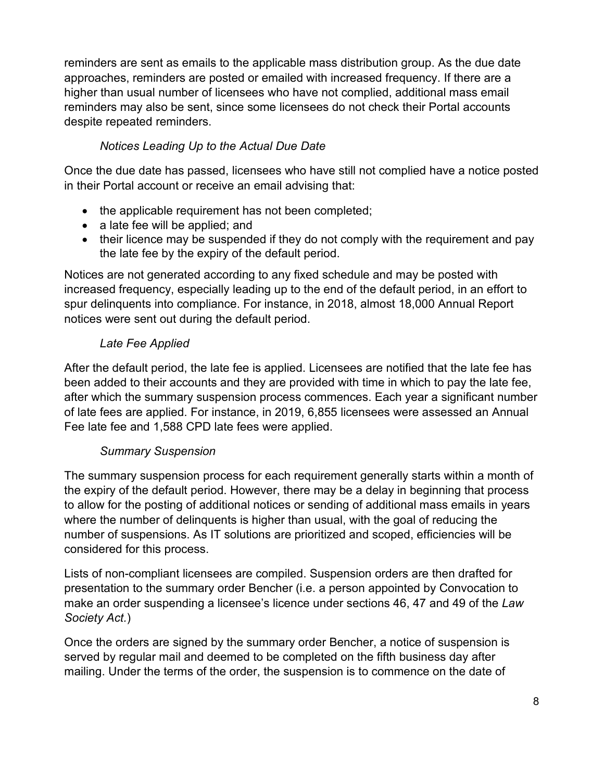reminders are sent as emails to the applicable mass distribution group. As the due date approaches, reminders are posted or emailed with increased frequency. If there are a higher than usual number of licensees who have not complied, additional mass email reminders may also be sent, since some licensees do not check their Portal accounts despite repeated reminders.

### *Notices Leading Up to the Actual Due Date*

Once the due date has passed, licensees who have still not complied have a notice posted in their Portal account or receive an email advising that:

- the applicable requirement has not been completed;
- a late fee will be applied; and
- their licence may be suspended if they do not comply with the requirement and pay the late fee by the expiry of the default period.

Notices are not generated according to any fixed schedule and may be posted with increased frequency, especially leading up to the end of the default period, in an effort to spur delinquents into compliance. For instance, in 2018, almost 18,000 Annual Report notices were sent out during the default period.

#### *Late Fee Applied*

After the default period, the late fee is applied. Licensees are notified that the late fee has been added to their accounts and they are provided with time in which to pay the late fee, after which the summary suspension process commences. Each year a significant number of late fees are applied. For instance, in 2019, 6,855 licensees were assessed an Annual Fee late fee and 1,588 CPD late fees were applied.

### *Summary Suspension*

The summary suspension process for each requirement generally starts within a month of the expiry of the default period. However, there may be a delay in beginning that process to allow for the posting of additional notices or sending of additional mass emails in years where the number of delinquents is higher than usual, with the goal of reducing the number of suspensions. As IT solutions are prioritized and scoped, efficiencies will be considered for this process.

Lists of non-compliant licensees are compiled. Suspension orders are then drafted for presentation to the summary order Bencher (i.e. a person appointed by Convocation to make an order suspending a licensee's licence under sections 46, 47 and 49 of the *Law Society Act.*)

Once the orders are signed by the summary order Bencher, a notice of suspension is served by regular mail and deemed to be completed on the fifth business day after mailing. Under the terms of the order, the suspension is to commence on the date of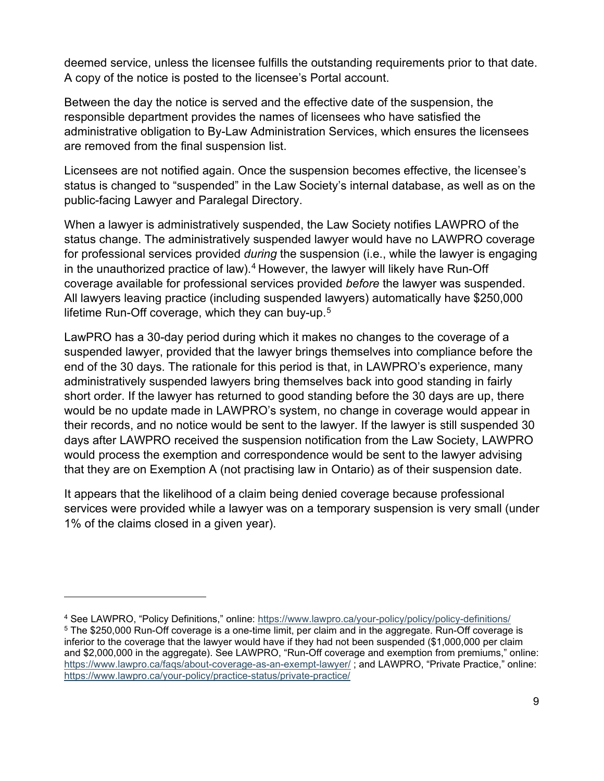deemed service, unless the licensee fulfills the outstanding requirements prior to that date. A copy of the notice is posted to the licensee's Portal account.

Between the day the notice is served and the effective date of the suspension, the responsible department provides the names of licensees who have satisfied the administrative obligation to By-Law Administration Services, which ensures the licensees are removed from the final suspension list.

Licensees are not notified again. Once the suspension becomes effective, the licensee's status is changed to "suspended" in the Law Society's internal database, as well as on the public-facing Lawyer and Paralegal Directory.

When a lawyer is administratively suspended, the Law Society notifies LAWPRO of the status change. The administratively suspended lawyer would have no LAWPRO coverage for professional services provided *during* the suspension (i.e., while the lawyer is engaging in the unauthorized practice of law).<sup>[4](#page-17-0)</sup> However, the lawyer will likely have Run-Off coverage available for professional services provided *before* the lawyer was suspended. All lawyers leaving practice (including suspended lawyers) automatically have \$250,000 lifetime Run-Off coverage, which they can buy-up.<sup>[5](#page-17-1)</sup>

LawPRO has a 30-day period during which it makes no changes to the coverage of a suspended lawyer, provided that the lawyer brings themselves into compliance before the end of the 30 days. The rationale for this period is that, in LAWPRO's experience, many administratively suspended lawyers bring themselves back into good standing in fairly short order. If the lawyer has returned to good standing before the 30 days are up, there would be no update made in LAWPRO's system, no change in coverage would appear in their records, and no notice would be sent to the lawyer. If the lawyer is still suspended 30 days after LAWPRO received the suspension notification from the Law Society, LAWPRO would process the exemption and correspondence would be sent to the lawyer advising that they are on Exemption A (not practising law in Ontario) as of their suspension date.

It appears that the likelihood of a claim being denied coverage because professional services were provided while a lawyer was on a temporary suspension is very small (under 1% of the claims closed in a given year).

<span id="page-17-1"></span><span id="page-17-0"></span><sup>&</sup>lt;sup>4</sup> See LAWPRO, "Policy Definitions," online: https://www.lawpro.ca/your-policy/policy/policy-definitions/<br><sup>5</sup> The \$250,000 Run-Off coverage is a one-time limit, per claim and in the aggregate. Run-Off coverage is inferior to the coverage that the lawyer would have if they had not been suspended (\$1,000,000 per claim and \$2,000,000 in the aggregate). See LAWPRO, "Run-Off coverage and exemption from premiums," online: <https://www.lawpro.ca/faqs/about-coverage-as-an-exempt-lawyer/> ; and LAWPRO, "Private Practice," online: <https://www.lawpro.ca/your-policy/practice-status/private-practice/>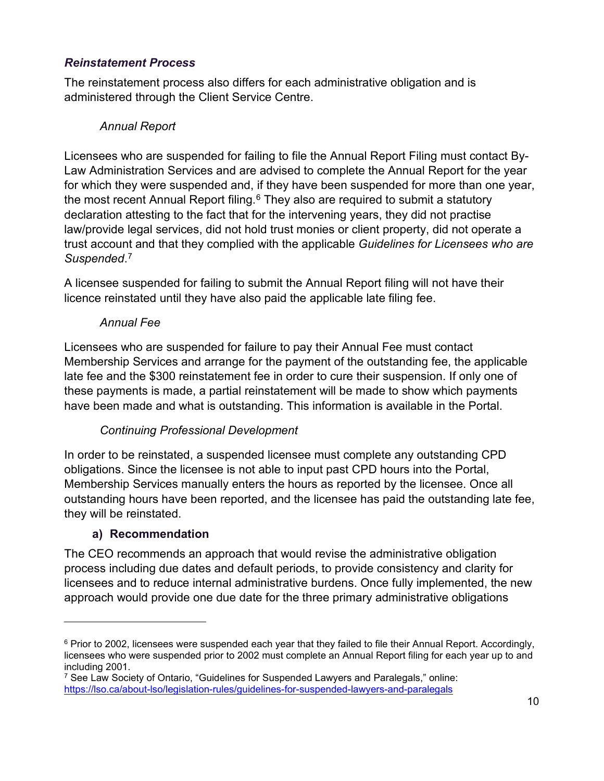#### *Reinstatement Process*

The reinstatement process also differs for each administrative obligation and is administered through the Client Service Centre.

#### *Annual Report*

Licensees who are suspended for failing to file the Annual Report Filing must contact By-Law Administration Services and are advised to complete the Annual Report for the year for which they were suspended and, if they have been suspended for more than one year, the most recent Annual Report filing. $6$  They also are required to submit a statutory declaration attesting to the fact that for the intervening years, they did not practise law/provide legal services, did not hold trust monies or client property, did not operate a trust account and that they complied with the applicable *Guidelines for Licensees who are Suspended*. [7](#page-18-2)

A licensee suspended for failing to submit the Annual Report filing will not have their licence reinstated until they have also paid the applicable late filing fee.

#### *Annual Fee*

Licensees who are suspended for failure to pay their Annual Fee must contact Membership Services and arrange for the payment of the outstanding fee, the applicable late fee and the \$300 reinstatement fee in order to cure their suspension. If only one of these payments is made, a partial reinstatement will be made to show which payments have been made and what is outstanding. This information is available in the Portal.

### *Continuing Professional Development*

In order to be reinstated, a suspended licensee must complete any outstanding CPD obligations. Since the licensee is not able to input past CPD hours into the Portal, Membership Services manually enters the hours as reported by the licensee. Once all outstanding hours have been reported, and the licensee has paid the outstanding late fee, they will be reinstated.

### **a) Recommendation**

<span id="page-18-0"></span>The CEO recommends an approach that would revise the administrative obligation process including due dates and default periods, to provide consistency and clarity for licensees and to reduce internal administrative burdens. Once fully implemented, the new approach would provide one due date for the three primary administrative obligations

<span id="page-18-1"></span><sup>&</sup>lt;sup>6</sup> Prior to 2002, licensees were suspended each year that they failed to file their Annual Report. Accordingly, licensees who were suspended prior to 2002 must complete an Annual Report filing for each year up to and including 2001.

<span id="page-18-2"></span><sup>7</sup> See Law Society of Ontario, "Guidelines for Suspended Lawyers and Paralegals," online: <https://lso.ca/about-lso/legislation-rules/guidelines-for-suspended-lawyers-and-paralegals>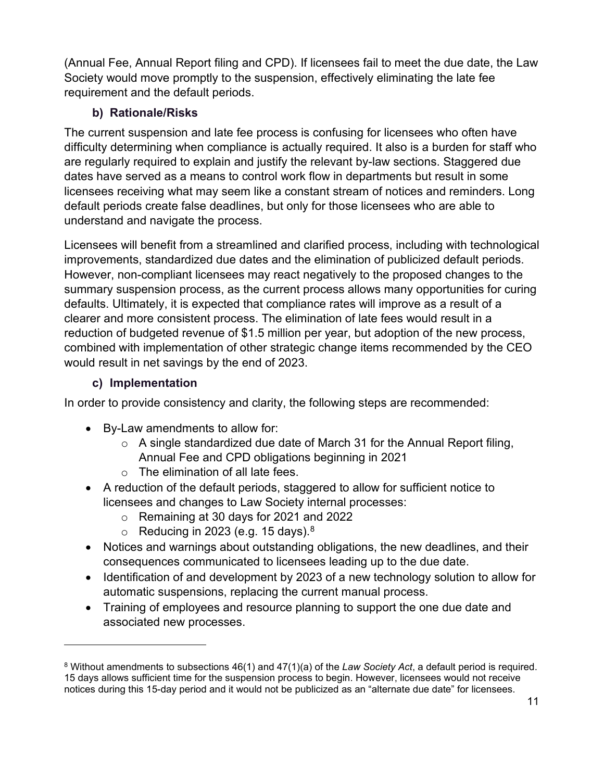(Annual Fee, Annual Report filing and CPD). If licensees fail to meet the due date, the Law Society would move promptly to the suspension, effectively eliminating the late fee requirement and the default periods.

### **b) Rationale/Risks**

<span id="page-19-0"></span>The current suspension and late fee process is confusing for licensees who often have difficulty determining when compliance is actually required. It also is a burden for staff who are regularly required to explain and justify the relevant by-law sections. Staggered due dates have served as a means to control work flow in departments but result in some licensees receiving what may seem like a constant stream of notices and reminders. Long default periods create false deadlines, but only for those licensees who are able to understand and navigate the process.

Licensees will benefit from a streamlined and clarified process, including with technological improvements, standardized due dates and the elimination of publicized default periods. However, non-compliant licensees may react negatively to the proposed changes to the summary suspension process, as the current process allows many opportunities for curing defaults. Ultimately, it is expected that compliance rates will improve as a result of a clearer and more consistent process. The elimination of late fees would result in a reduction of budgeted revenue of \$1.5 million per year, but adoption of the new process, combined with implementation of other strategic change items recommended by the CEO would result in net savings by the end of 2023.

### **c) Implementation**

<span id="page-19-1"></span>In order to provide consistency and clarity, the following steps are recommended:

- By-Law amendments to allow for:
	- $\circ$  A single standardized due date of March 31 for the Annual Report filing, Annual Fee and CPD obligations beginning in 2021
	- o The elimination of all late fees.
- A reduction of the default periods, staggered to allow for sufficient notice to licensees and changes to Law Society internal processes:
	- o Remaining at 30 days for 2021 and 2022
	- $\circ$   $\,$  Reducing in 2023 (e.g. 15 days). $^8$  $^8$
- Notices and warnings about outstanding obligations, the new deadlines, and their consequences communicated to licensees leading up to the due date.
- Identification of and development by 2023 of a new technology solution to allow for automatic suspensions, replacing the current manual process.
- Training of employees and resource planning to support the one due date and associated new processes.

<span id="page-19-2"></span><sup>8</sup> Without amendments to subsections 46(1) and 47(1)(a) of the *Law Society Act*, a default period is required. 15 days allows sufficient time for the suspension process to begin. However, licensees would not receive notices during this 15-day period and it would not be publicized as an "alternate due date" for licensees.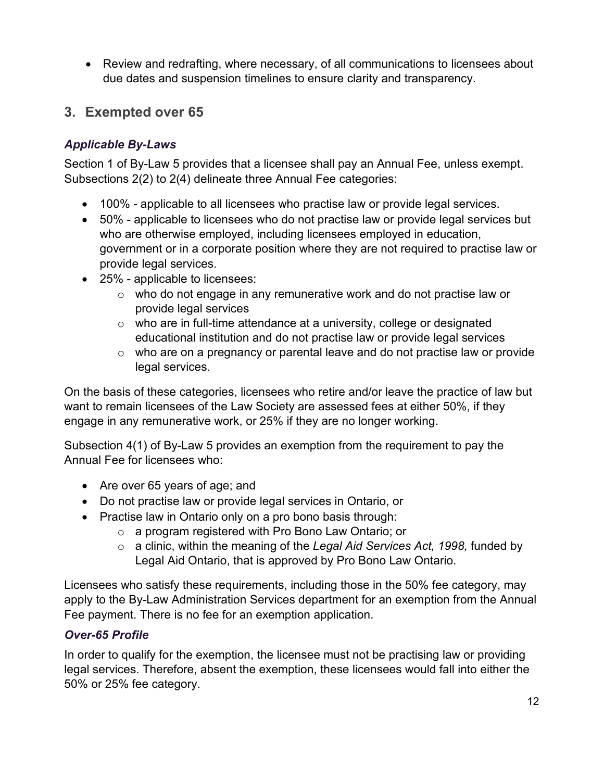• Review and redrafting, where necessary, of all communications to licensees about due dates and suspension timelines to ensure clarity and transparency.

## <span id="page-20-0"></span>**3. Exempted over 65**

### *Applicable By-Laws*

Section 1 of By-Law 5 provides that a licensee shall pay an Annual Fee, unless exempt. Subsections 2(2) to 2(4) delineate three Annual Fee categories:

- 100% applicable to all licensees who practise law or provide legal services.
- 50% applicable to licensees who do not practise law or provide legal services but who are otherwise employed, including licensees employed in education, government or in a corporate position where they are not required to practise law or provide legal services.
- 25% applicable to licensees:
	- o who do not engage in any remunerative work and do not practise law or provide legal services
	- $\circ$  who are in full-time attendance at a university, college or designated educational institution and do not practise law or provide legal services
	- o who are on a pregnancy or parental leave and do not practise law or provide legal services.

On the basis of these categories, licensees who retire and/or leave the practice of law but want to remain licensees of the Law Society are assessed fees at either 50%, if they engage in any remunerative work, or 25% if they are no longer working.

Subsection 4(1) of By-Law 5 provides an exemption from the requirement to pay the Annual Fee for licensees who:

- Are over 65 years of age; and
- Do not practise law or provide legal services in Ontario, or
- Practise law in Ontario only on a pro bono basis through:
	- o a program registered with Pro Bono Law Ontario; or
	- o a clinic, within the meaning of the *Legal Aid Services Act, 1998,* funded by Legal Aid Ontario, that is approved by Pro Bono Law Ontario.

Licensees who satisfy these requirements, including those in the 50% fee category, may apply to the By-Law Administration Services department for an exemption from the Annual Fee payment. There is no fee for an exemption application.

### *Over-65 Profile*

In order to qualify for the exemption, the licensee must not be practising law or providing legal services. Therefore, absent the exemption, these licensees would fall into either the 50% or 25% fee category.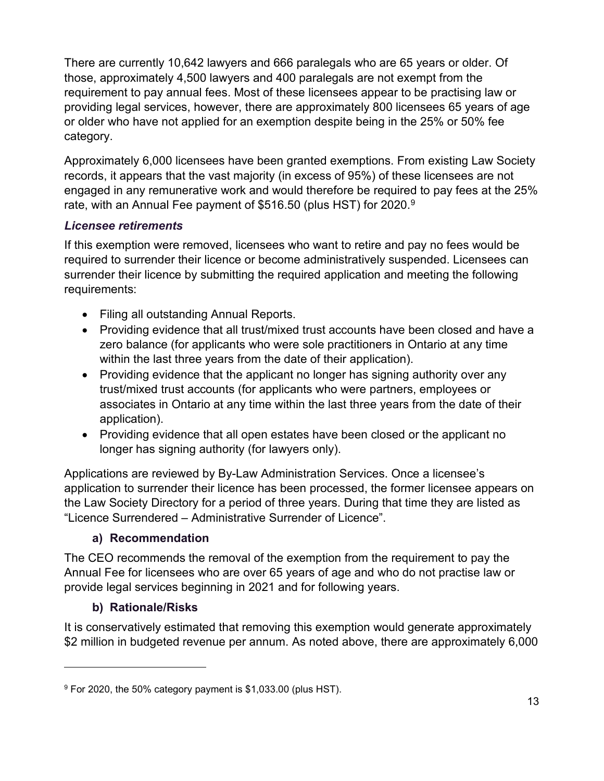There are currently 10,642 lawyers and 666 paralegals who are 65 years or older. Of those, approximately 4,500 lawyers and 400 paralegals are not exempt from the requirement to pay annual fees. Most of these licensees appear to be practising law or providing legal services, however, there are approximately 800 licensees 65 years of age or older who have not applied for an exemption despite being in the 25% or 50% fee category.

Approximately 6,000 licensees have been granted exemptions. From existing Law Society records, it appears that the vast majority (in excess of 95%) of these licensees are not engaged in any remunerative work and would therefore be required to pay fees at the 25% rate, with an Annual Fee payment of \$516.50 (plus HST) for 2020.<sup>9</sup>

#### *Licensee retirements*

If this exemption were removed, licensees who want to retire and pay no fees would be required to surrender their licence or become administratively suspended. Licensees can surrender their licence by submitting the required application and meeting the following requirements:

- Filing all outstanding Annual Reports.
- Providing evidence that all trust/mixed trust accounts have been closed and have a zero balance (for applicants who were sole practitioners in Ontario at any time within the last three years from the date of their application).
- Providing evidence that the applicant no longer has signing authority over any trust/mixed trust accounts (for applicants who were partners, employees or associates in Ontario at any time within the last three years from the date of their application).
- Providing evidence that all open estates have been closed or the applicant no longer has signing authority (for lawyers only).

Applications are reviewed by By-Law Administration Services. Once a licensee's application to surrender their licence has been processed, the former licensee appears on the Law Society Directory for a period of three years. During that time they are listed as "Licence Surrendered – Administrative Surrender of Licence".

#### **a) Recommendation**

<span id="page-21-0"></span>The CEO recommends the removal of the exemption from the requirement to pay the Annual Fee for licensees who are over 65 years of age and who do not practise law or provide legal services beginning in 2021 and for following years.

#### **b) Rationale/Risks**

<span id="page-21-1"></span>It is conservatively estimated that removing this exemption would generate approximately \$2 million in budgeted revenue per annum. As noted above, there are approximately 6,000

<span id="page-21-2"></span><sup>9</sup> For 2020, the 50% category payment is \$1,033.00 (plus HST).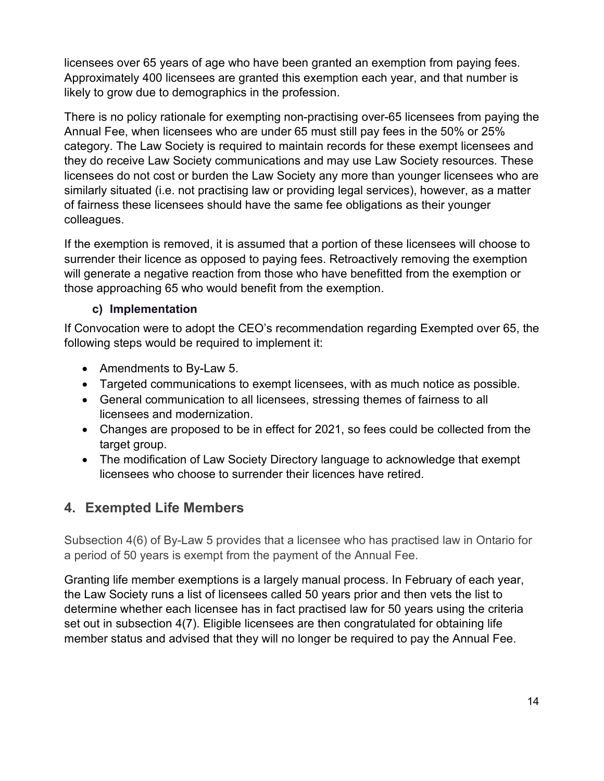licensees over 65 years of age who have been granted an exemption from paying fees. Approximately 400 licensees are granted this exemption each year, and that number is likely to grow due to demographics in the profession.

There is no policy rationale for exempting non-practising over-65 licensees from paying the Annual Fee, when licensees who are under 65 must still pay fees in the 50% or 25% category. The Law Society is required to maintain records for these exempt licensees and they do receive Law Society communications and may use Law Society resources. These licensees do not cost or burden the Law Society any more than younger licensees who are similarly situated (i.e. not practising law or providing legal services), however, as a matter of fairness these licensees should have the same fee obligations as their younger colleagues.

If the exemption is removed, it is assumed that a portion of these licensees will choose to surrender their licence as opposed to paying fees. Retroactively removing the exemption will generate a negative reaction from those who have benefitted from the exemption or those approaching 65 who would benefit from the exemption.

### **c) Implementation**

<span id="page-22-0"></span>If Convocation were to adopt the CEO's recommendation regarding Exempted over 65, the following steps would be required to implement it:

- Amendments to By-Law 5.
- Targeted communications to exempt licensees, with as much notice as possible.
- General communication to all licensees, stressing themes of fairness to all licensees and modernization.
- Changes are proposed to be in effect for 2021, so fees could be collected from the target group.
- The modification of Law Society Directory language to acknowledge that exempt licensees who choose to surrender their licences have retired.

## <span id="page-22-1"></span>**4. Exempted Life Members**

Subsection 4(6) of By-Law 5 provides that a licensee who has practised law in Ontario for a period of 50 years is exempt from the payment of the Annual Fee.

Granting life member exemptions is a largely manual process. In February of each year, the Law Society runs a list of licensees called 50 years prior and then vets the list to determine whether each licensee has in fact practised law for 50 years using the criteria set out in subsection 4(7). Eligible licensees are then congratulated for obtaining life member status and advised that they will no longer be required to pay the Annual Fee.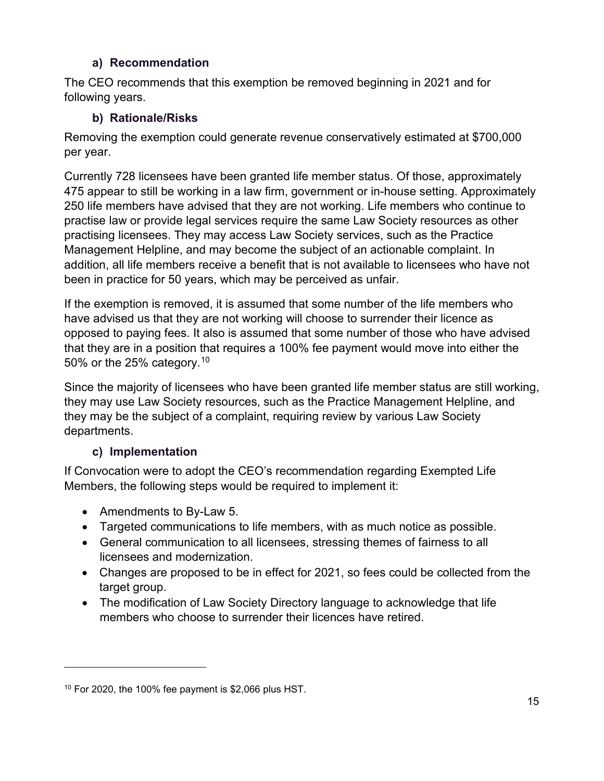#### **a) Recommendation**

<span id="page-23-0"></span>The CEO recommends that this exemption be removed beginning in 2021 and for following years.

#### **b) Rationale/Risks**

<span id="page-23-1"></span>Removing the exemption could generate revenue conservatively estimated at \$700,000 per year.

Currently 728 licensees have been granted life member status. Of those, approximately 475 appear to still be working in a law firm, government or in-house setting. Approximately 250 life members have advised that they are not working. Life members who continue to practise law or provide legal services require the same Law Society resources as other practising licensees. They may access Law Society services, such as the Practice Management Helpline, and may become the subject of an actionable complaint. In addition, all life members receive a benefit that is not available to licensees who have not been in practice for 50 years, which may be perceived as unfair.

If the exemption is removed, it is assumed that some number of the life members who have advised us that they are not working will choose to surrender their licence as opposed to paying fees. It also is assumed that some number of those who have advised that they are in a position that requires a 100% fee payment would move into either the 50% or the 25% category.<sup>10</sup>

Since the majority of licensees who have been granted life member status are still working, they may use Law Society resources, such as the Practice Management Helpline, and they may be the subject of a complaint, requiring review by various Law Society departments.

#### **c) Implementation**

<span id="page-23-2"></span>If Convocation were to adopt the CEO's recommendation regarding Exempted Life Members, the following steps would be required to implement it:

- Amendments to By-Law 5.
- Targeted communications to life members, with as much notice as possible.
- General communication to all licensees, stressing themes of fairness to all licensees and modernization.
- Changes are proposed to be in effect for 2021, so fees could be collected from the target group.
- The modification of Law Society Directory language to acknowledge that life members who choose to surrender their licences have retired.

<span id="page-23-3"></span> $10$  For 2020, the 100% fee payment is \$2,066 plus HST.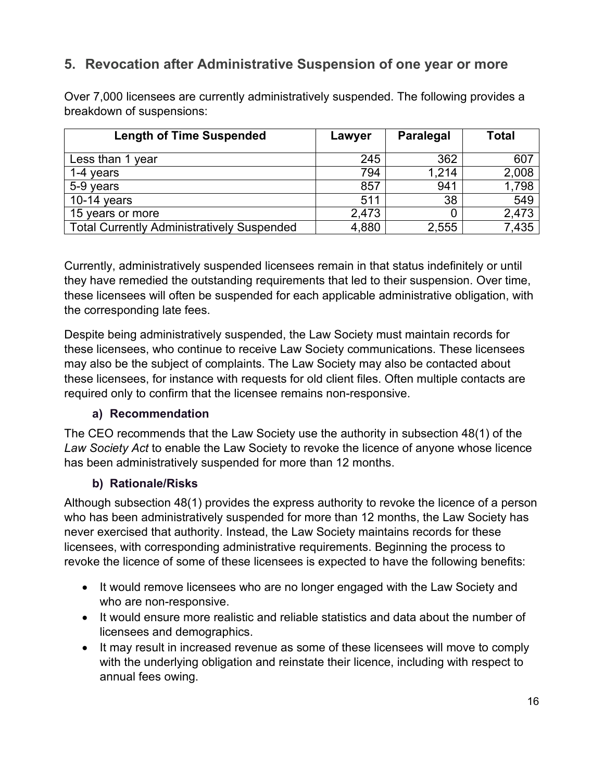## <span id="page-24-0"></span>**5. Revocation after Administrative Suspension of one year or more**

Over 7,000 licensees are currently administratively suspended. The following provides a breakdown of suspensions:

| <b>Length of Time Suspended</b>                   | Lawyer | <b>Paralegal</b> | Total |
|---------------------------------------------------|--------|------------------|-------|
| Less than 1 year                                  | 245    | 362              | 607   |
| 1-4 years                                         | 794    | 1,214            | 2,008 |
| 5-9 years                                         | 857    | 941              | 1,798 |
| 10-14 years                                       | 511    | 38               | 549   |
| 15 years or more                                  | 2,473  |                  | 2,473 |
| <b>Total Currently Administratively Suspended</b> | 4,880  | 2,555            | 7,435 |

Currently, administratively suspended licensees remain in that status indefinitely or until they have remedied the outstanding requirements that led to their suspension. Over time, these licensees will often be suspended for each applicable administrative obligation, with the corresponding late fees.

Despite being administratively suspended, the Law Society must maintain records for these licensees, who continue to receive Law Society communications. These licensees may also be the subject of complaints. The Law Society may also be contacted about these licensees, for instance with requests for old client files. Often multiple contacts are required only to confirm that the licensee remains non-responsive.

#### **a) Recommendation**

<span id="page-24-1"></span>The CEO recommends that the Law Society use the authority in subsection 48(1) of the *Law Society Act* to enable the Law Society to revoke the licence of anyone whose licence has been administratively suspended for more than 12 months.

#### **b) Rationale/Risks**

<span id="page-24-2"></span>Although subsection 48(1) provides the express authority to revoke the licence of a person who has been administratively suspended for more than 12 months, the Law Society has never exercised that authority. Instead, the Law Society maintains records for these licensees, with corresponding administrative requirements. Beginning the process to revoke the licence of some of these licensees is expected to have the following benefits:

- It would remove licensees who are no longer engaged with the Law Society and who are non-responsive.
- It would ensure more realistic and reliable statistics and data about the number of licensees and demographics.
- It may result in increased revenue as some of these licensees will move to comply with the underlying obligation and reinstate their licence, including with respect to annual fees owing.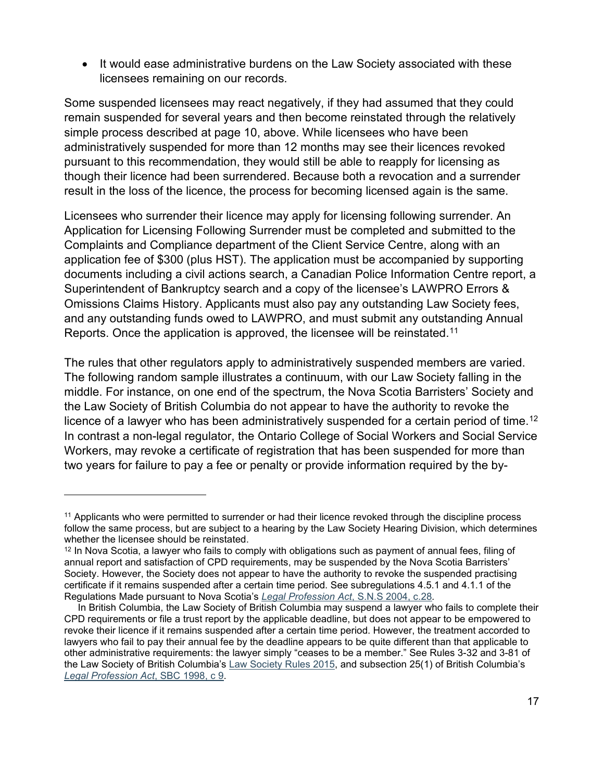• It would ease administrative burdens on the Law Society associated with these licensees remaining on our records.

Some suspended licensees may react negatively, if they had assumed that they could remain suspended for several years and then become reinstated through the relatively simple process described at page 10, above. While licensees who have been administratively suspended for more than 12 months may see their licences revoked pursuant to this recommendation, they would still be able to reapply for licensing as though their licence had been surrendered. Because both a revocation and a surrender result in the loss of the licence, the process for becoming licensed again is the same.

Licensees who surrender their licence may apply for licensing following surrender. An Application for Licensing Following Surrender must be completed and submitted to the Complaints and Compliance department of the Client Service Centre, along with an application fee of \$300 (plus HST). The application must be accompanied by supporting documents including a civil actions search, a Canadian Police Information Centre report, a Superintendent of Bankruptcy search and a copy of the licensee's LAWPRO Errors & Omissions Claims History. Applicants must also pay any outstanding Law Society fees, and any outstanding funds owed to LAWPRO, and must submit any outstanding Annual Reports. Once the application is approved, the licensee will be reinstated.<sup>11</sup>

The rules that other regulators apply to administratively suspended members are varied. The following random sample illustrates a continuum, with our Law Society falling in the middle. For instance, on one end of the spectrum, the Nova Scotia Barristers' Society and the Law Society of British Columbia do not appear to have the authority to revoke the licence of a lawyer who has been administratively suspended for a certain period of time.<sup>[12](#page-25-1)</sup> In contrast a non-legal regulator, the Ontario College of Social Workers and Social Service Workers, may revoke a certificate of registration that has been suspended for more than two years for failure to pay a fee or penalty or provide information required by the by-

<span id="page-25-0"></span><sup>11</sup> Applicants who were permitted to surrender or had their licence revoked through the discipline process follow the same process, but are subject to a hearing by the Law Society Hearing Division, which determines whether the licensee should be reinstated.

<span id="page-25-1"></span> $12$  In Nova Scotia, a lawyer who fails to comply with obligations such as payment of annual fees, filing of annual report and satisfaction of CPD requirements, may be suspended by the Nova Scotia Barristers' Society. However, the Society does not appear to have the authority to revoke the suspended practising certificate if it remains suspended after a certain time period. See subregulations 4.5.1 and 4.1.1 of the Regulations Made pursuant to Nova Scotia's *[Legal Profession Act](https://nsbs.org/wp-content/uploads/2019/11/NSBSRegulations.pdf)*, S.N.S 2004, c.28*.*

In British Columbia, the Law Society of British Columbia may suspend a lawyer who fails to complete their CPD requirements or file a trust report by the applicable deadline, but does not appear to be empowered to revoke their licence if it remains suspended after a certain time period. However, the treatment accorded to lawyers who fail to pay their annual fee by the deadline appears to be quite different than that applicable to other administrative requirements: the lawyer simply "ceases to be a member." See Rules 3-32 and 3-81 of the Law Society of British Columbia's [Law Society Rules 2015,](https://www.lawsociety.bc.ca/support-and-resources-for-lawyers/act-rules-and-code/law-society-rules/) and subsection 25(1) of British Columbia's *[Legal Profession Act](http://canlii.ca/t/84jt)*, SBC 1998, c 9.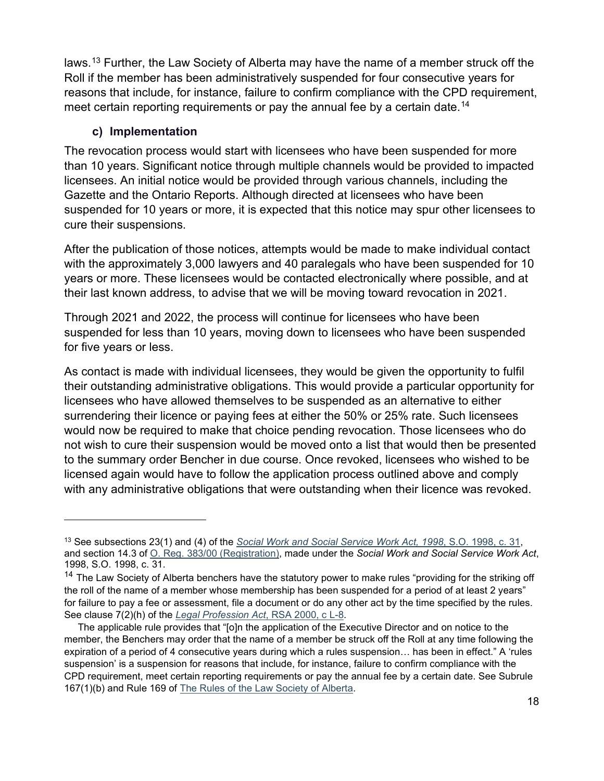laws. [13](#page-26-1) Further, the Law Society of Alberta may have the name of a member struck off the Roll if the member has been administratively suspended for four consecutive years for reasons that include, for instance, failure to confirm compliance with the CPD requirement, meet certain reporting requirements or pay the annual fee by a certain date. [14](#page-26-2)

#### **c) Implementation**

<span id="page-26-0"></span>The revocation process would start with licensees who have been suspended for more than 10 years. Significant notice through multiple channels would be provided to impacted licensees. An initial notice would be provided through various channels, including the Gazette and the Ontario Reports. Although directed at licensees who have been suspended for 10 years or more, it is expected that this notice may spur other licensees to cure their suspensions.

After the publication of those notices, attempts would be made to make individual contact with the approximately 3,000 lawyers and 40 paralegals who have been suspended for 10 years or more. These licensees would be contacted electronically where possible, and at their last known address, to advise that we will be moving toward revocation in 2021.

Through 2021 and 2022, the process will continue for licensees who have been suspended for less than 10 years, moving down to licensees who have been suspended for five years or less.

As contact is made with individual licensees, they would be given the opportunity to fulfil their outstanding administrative obligations. This would provide a particular opportunity for licensees who have allowed themselves to be suspended as an alternative to either surrendering their licence or paying fees at either the 50% or 25% rate. Such licensees would now be required to make that choice pending revocation. Those licensees who do not wish to cure their suspension would be moved onto a list that would then be presented to the summary order Bencher in due course. Once revoked, licensees who wished to be licensed again would have to follow the application process outlined above and comply with any administrative obligations that were outstanding when their licence was revoked.

<span id="page-26-1"></span><sup>13</sup> See subsections 23(1) and (4) of the *[Social Work and Social Service Work Act, 1998](https://www.ontario.ca/laws/statute/98s31)*, S.O. 1998, c. 31, and section 14.3 of [O. Reg. 383/00 \(Registration\),](https://www.ontario.ca/laws/regulation/000383) made under the *Social Work and Social Service Work Act*, 1998, S.O. 1998, c. 31.

<span id="page-26-2"></span><sup>&</sup>lt;sup>14</sup> The Law Society of Alberta benchers have the statutory power to make rules "providing for the striking off the roll of the name of a member whose membership has been suspended for a period of at least 2 years" for failure to pay a fee or assessment, file a document or do any other act by the time specified by the rules. See clause 7(2)(h) of the *[Legal Profession Act](https://www.canlii.org/en/ab/laws/stat/rsa-2000-c-l-8/latest/rsa-2000-c-l-8.html)*, RSA 2000, c L-8.

The applicable rule provides that "[o]n the application of the Executive Director and on notice to the member, the Benchers may order that the name of a member be struck off the Roll at any time following the expiration of a period of 4 consecutive years during which a rules suspension… has been in effect." A 'rules suspension' is a suspension for reasons that include, for instance, failure to confirm compliance with the CPD requirement, meet certain reporting requirements or pay the annual fee by a certain date. See Subrule 167(1)(b) and Rule 169 of [The Rules of the Law Society of Alberta.](https://documents.lawsociety.ab.ca/wp-content/uploads/2017/01/04144612/Rules.pdf)